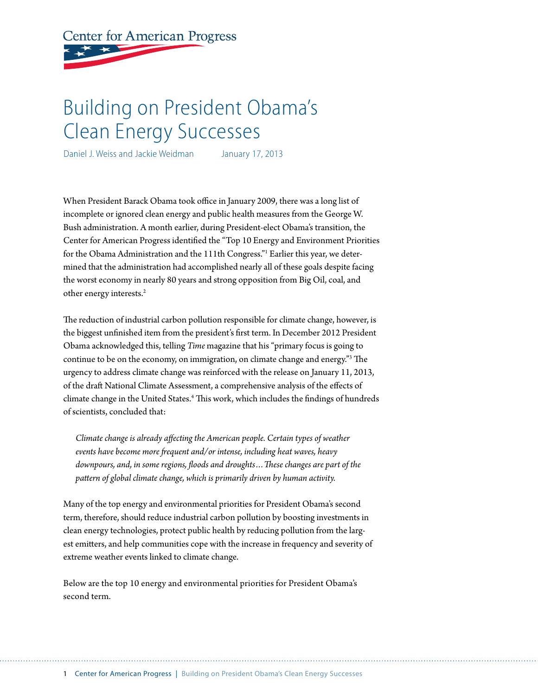# **Center for American Progress**

## Building on President Obama's Clean Energy Successes

Daniel J. Weiss and Jackie Weidman January 17, 2013

When President Barack Obama took office in January 2009, there was a long list of incomplete or ignored clean energy and public health measures from the George W. Bush administration. A month earlier, during President-elect Obama's transition, the Center for American Progress identified the "Top 10 Energy and Environment Priorities for the Obama Administration and the 111th Congress."<sup>1</sup> Earlier this year, we determined that the administration had accomplished nearly all of these goals despite facing the worst economy in nearly 80 years and strong opposition from Big Oil, coal, and other energy interests.<sup>2</sup>

The reduction of industrial carbon pollution responsible for climate change, however, is the biggest unfinished item from the president's first term. In December 2012 President Obama acknowledged this, telling *Time* magazine that his "primary focus is going to continue to be on the economy, on immigration, on climate change and energy."3 The urgency to address climate change was reinforced with the release on January 11, 2013, of the draft National Climate Assessment, a comprehensive analysis of the effects of climate change in the United States.<sup>4</sup> This work, which includes the findings of hundreds of scientists, concluded that:

*Climate change is already affecting the American people. Certain types of weather events have become more frequent and/or intense, including heat waves, heavy downpours, and, in some regions, floods and droughts…These changes are part of the pattern of global climate change, which is primarily driven by human activity.*

Many of the top energy and environmental priorities for President Obama's second term, therefore, should reduce industrial carbon pollution by boosting investments in clean energy technologies, protect public health by reducing pollution from the largest emitters, and help communities cope with the increase in frequency and severity of extreme weather events linked to climate change.

Below are the top 10 energy and environmental priorities for President Obama's second term.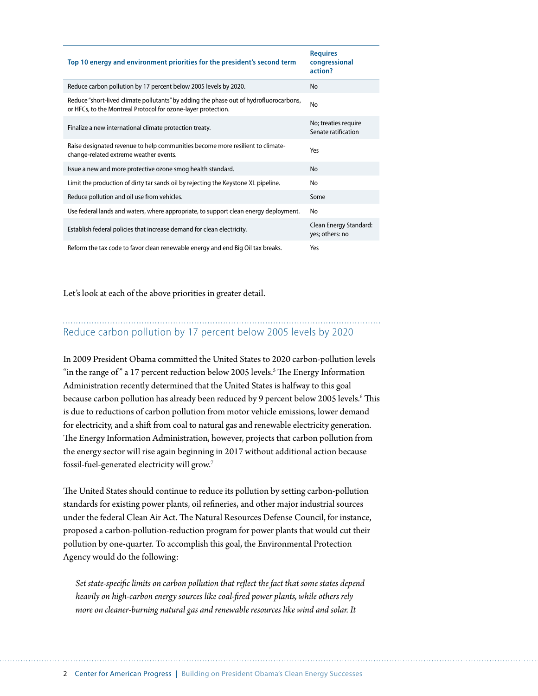| Top 10 energy and environment priorities for the president's second term                                                                                | <b>Requires</b><br>congressional<br>action? |
|---------------------------------------------------------------------------------------------------------------------------------------------------------|---------------------------------------------|
| Reduce carbon pollution by 17 percent below 2005 levels by 2020.                                                                                        | <b>No</b>                                   |
| Reduce "short-lived climate pollutants" by adding the phase out of hydrofluorocarbons,<br>or HFCs, to the Montreal Protocol for ozone-layer protection. | No                                          |
| Finalize a new international climate protection treaty.                                                                                                 | No; treaties require<br>Senate ratification |
| Raise designated revenue to help communities become more resilient to climate-<br>change-related extreme weather events.                                | Yρς                                         |
| Issue a new and more protective ozone smog health standard.                                                                                             | No.                                         |
| Limit the production of dirty tar sands oil by rejecting the Keystone XL pipeline.                                                                      | No                                          |
| Reduce pollution and oil use from vehicles.                                                                                                             | Some                                        |
| Use federal lands and waters, where appropriate, to support clean energy deployment.                                                                    | No                                          |
| Establish federal policies that increase demand for clean electricity.                                                                                  | Clean Energy Standard:<br>yes; others: no   |
| Reform the tax code to favor clean renewable energy and end Big Oil tax breaks.                                                                         | Yes                                         |

Let's look at each of the above priorities in greater detail.

#### Reduce carbon pollution by 17 percent below 2005 levels by 2020

In 2009 President Obama committed the United States to 2020 carbon-pollution levels "in the range of" a 17 percent reduction below 2005 levels.<sup>5</sup> The Energy Information Administration recently determined that the United States is halfway to this goal because carbon pollution has already been reduced by 9 percent below 2005 levels.<sup>6</sup> This is due to reductions of carbon pollution from motor vehicle emissions, lower demand for electricity, and a shift from coal to natural gas and renewable electricity generation. The Energy Information Administration, however, projects that carbon pollution from the energy sector will rise again beginning in 2017 without additional action because fossil-fuel-generated electricity will grow.7

The United States should continue to reduce its pollution by setting carbon-pollution standards for existing power plants, oil refineries, and other major industrial sources under the federal Clean Air Act. The Natural Resources Defense Council, for instance, proposed a carbon-pollution-reduction program for power plants that would cut their pollution by one-quarter. To accomplish this goal, the Environmental Protection Agency would do the following:

*Set state-specific limits on carbon pollution that reflect the fact that some states depend heavily on high-carbon energy sources like coal-fired power plants, while others rely more on cleaner-burning natural gas and renewable resources like wind and solar. It*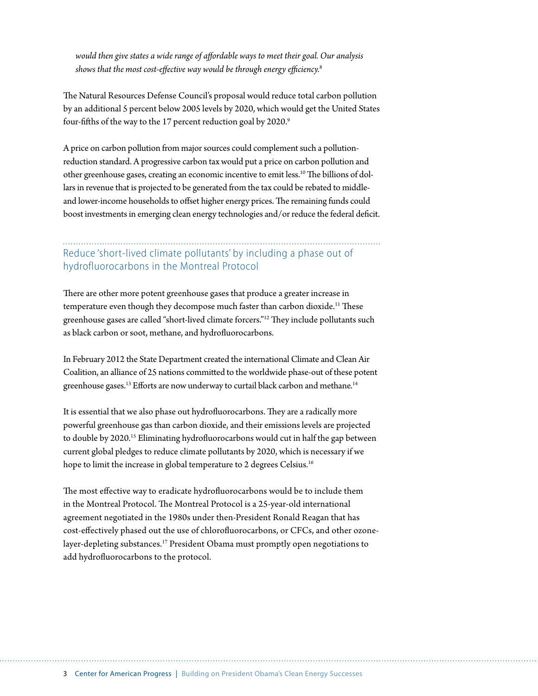*would then give states a wide range of affordable ways to meet their goal. Our analysis shows that the most cost-effective way would be through energy efficiency.*<sup>8</sup>

The Natural Resources Defense Council's proposal would reduce total carbon pollution by an additional 5 percent below 2005 levels by 2020, which would get the United States four-fifths of the way to the 17 percent reduction goal by 2020.<sup>9</sup>

A price on carbon pollution from major sources could complement such a pollutionreduction standard. A progressive carbon tax would put a price on carbon pollution and other greenhouse gases, creating an economic incentive to emit less.10 The billions of dollars in revenue that is projected to be generated from the tax could be rebated to middleand lower-income households to offset higher energy prices. The remaining funds could boost investments in emerging clean energy technologies and/or reduce the federal deficit.

#### Reduce 'short-lived climate pollutants' by including a phase out of hydrofluorocarbons in the Montreal Protocol

There are other more potent greenhouse gases that produce a greater increase in temperature even though they decompose much faster than carbon dioxide.<sup>11</sup> These greenhouse gases are called "short-lived climate forcers."12 They include pollutants such as black carbon or soot, methane, and hydrofluorocarbons.

In February 2012 the State Department created the international Climate and Clean Air Coalition, an alliance of 25 nations committed to the worldwide phase-out of these potent greenhouse gases.<sup>13</sup> Efforts are now underway to curtail black carbon and methane.<sup>14</sup>

It is essential that we also phase out hydrofluorocarbons. They are a radically more powerful greenhouse gas than carbon dioxide, and their emissions levels are projected to double by 2020.15 Eliminating hydrofluorocarbons would cut in half the gap between current global pledges to reduce climate pollutants by 2020, which is necessary if we hope to limit the increase in global temperature to 2 degrees Celsius.<sup>16</sup>

The most effective way to eradicate hydrofluorocarbons would be to include them in the Montreal Protocol. The Montreal Protocol is a 25-year-old international agreement negotiated in the 1980s under then-President Ronald Reagan that has cost-effectively phased out the use of chlorofluorocarbons, or CFCs, and other ozonelayer-depleting substances.<sup>17</sup> President Obama must promptly open negotiations to add hydrofluorocarbons to the protocol.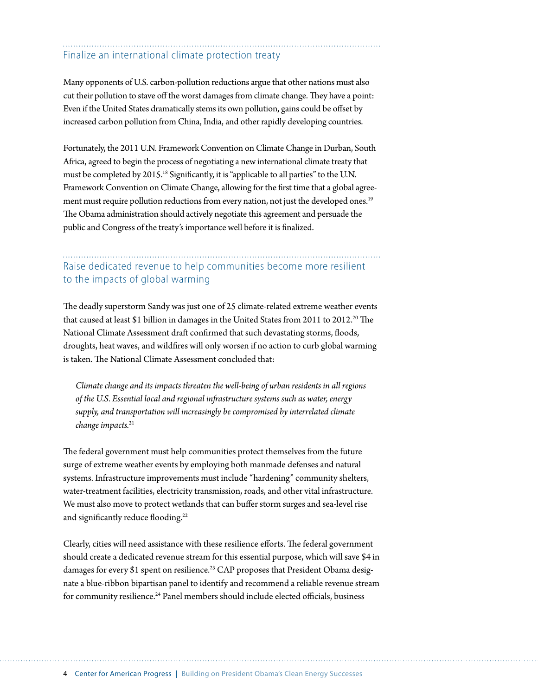## Finalize an international climate protection treaty

Many opponents of U.S. carbon-pollution reductions argue that other nations must also cut their pollution to stave off the worst damages from climate change. They have a point: Even if the United States dramatically stems its own pollution, gains could be offset by increased carbon pollution from China, India, and other rapidly developing countries.

Fortunately, the 2011 U.N. Framework Convention on Climate Change in Durban, South Africa, agreed to begin the process of negotiating a new international climate treaty that must be completed by 2015.18 Significantly, it is "applicable to all parties" to the U.N. Framework Convention on Climate Change, allowing for the first time that a global agreement must require pollution reductions from every nation, not just the developed ones.<sup>19</sup> The Obama administration should actively negotiate this agreement and persuade the public and Congress of the treaty's importance well before it is finalized.

#### Raise dedicated revenue to help communities become more resilient to the impacts of global warming

The deadly superstorm Sandy was just one of 25 climate-related extreme weather events that caused at least \$1 billion in damages in the United States from 2011 to 2012.<sup>20</sup> The National Climate Assessment draft confirmed that such devastating storms, floods, droughts, heat waves, and wildfires will only worsen if no action to curb global warming is taken. The National Climate Assessment concluded that:

*Climate change and its impacts threaten the well-being of urban residents in all regions of the U.S. Essential local and regional infrastructure systems such as water, energy supply, and transportation will increasingly be compromised by interrelated climate change impacts.*<sup>21</sup>

The federal government must help communities protect themselves from the future surge of extreme weather events by employing both manmade defenses and natural systems. Infrastructure improvements must include "hardening" community shelters, water-treatment facilities, electricity transmission, roads, and other vital infrastructure. We must also move to protect wetlands that can buffer storm surges and sea-level rise and significantly reduce flooding.<sup>22</sup>

Clearly, cities will need assistance with these resilience efforts. The federal government should create a dedicated revenue stream for this essential purpose, which will save \$4 in damages for every \$1 spent on resilience.<sup>23</sup> CAP proposes that President Obama designate a blue-ribbon bipartisan panel to identify and recommend a reliable revenue stream for community resilience.<sup>24</sup> Panel members should include elected officials, business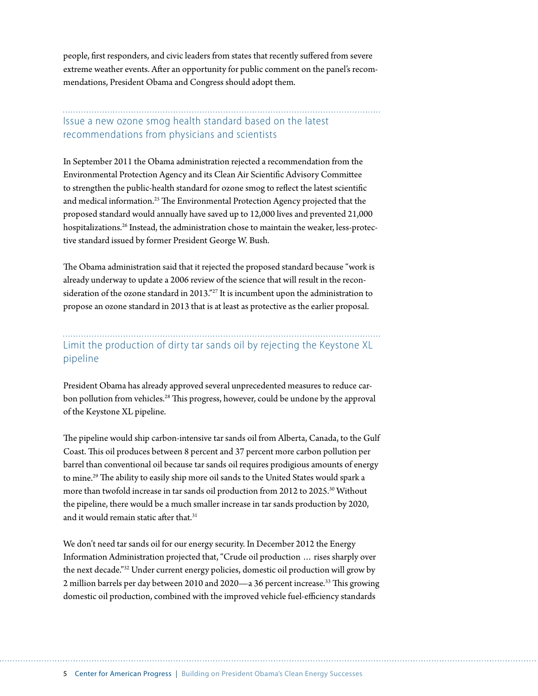people, first responders, and civic leaders from states that recently suffered from severe extreme weather events. After an opportunity for public comment on the panel's recommendations, President Obama and Congress should adopt them.

#### Issue a new ozone smog health standard based on the latest recommendations from physicians and scientists

In September 2011 the Obama administration rejected a recommendation from the Environmental Protection Agency and its Clean Air Scientific Advisory Committee to strengthen the public-health standard for ozone smog to reflect the latest scientific and medical information.25 The Environmental Protection Agency projected that the proposed standard would annually have saved up to 12,000 lives and prevented 21,000 hospitalizations.<sup>26</sup> Instead, the administration chose to maintain the weaker, less-protective standard issued by former President George W. Bush.

The Obama administration said that it rejected the proposed standard because "work is already underway to update a 2006 review of the science that will result in the reconsideration of the ozone standard in 2013."27 It is incumbent upon the administration to propose an ozone standard in 2013 that is at least as protective as the earlier proposal.

### Limit the production of dirty tar sands oil by rejecting the Keystone XL pipeline

President Obama has already approved several unprecedented measures to reduce carbon pollution from vehicles.<sup>28</sup> This progress, however, could be undone by the approval of the Keystone XL pipeline.

The pipeline would ship carbon-intensive tar sands oil from Alberta, Canada, to the Gulf Coast. This oil produces between 8 percent and 37 percent more carbon pollution per barrel than conventional oil because tar sands oil requires prodigious amounts of energy to mine.29 The ability to easily ship more oil sands to the United States would spark a more than twofold increase in tar sands oil production from 2012 to 2025.30 Without the pipeline, there would be a much smaller increase in tar sands production by 2020, and it would remain static after that.<sup>31</sup>

We don't need tar sands oil for our energy security. In December 2012 the Energy Information Administration projected that, "Crude oil production … rises sharply over the next decade."32 Under current energy policies, domestic oil production will grow by 2 million barrels per day between 2010 and 2020—a 36 percent increase.33 This growing domestic oil production, combined with the improved vehicle fuel-efficiency standards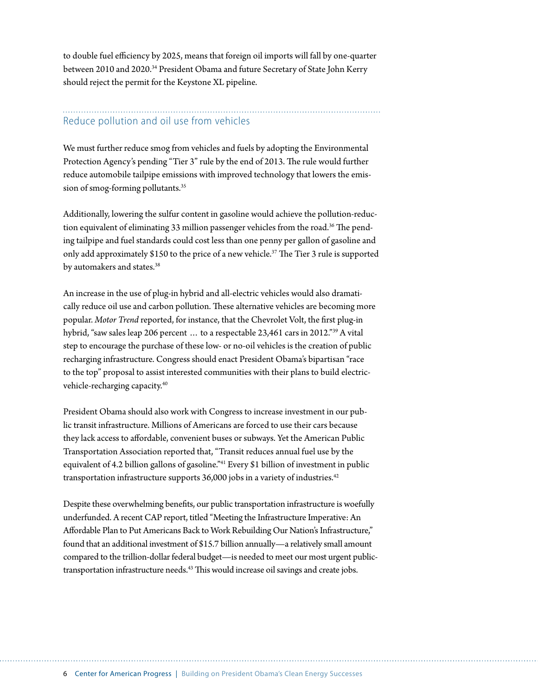to double fuel efficiency by 2025, means that foreign oil imports will fall by one-quarter between 2010 and 2020.<sup>34</sup> President Obama and future Secretary of State John Kerry should reject the permit for the Keystone XL pipeline.

#### Reduce pollution and oil use from vehicles

We must further reduce smog from vehicles and fuels by adopting the Environmental Protection Agency's pending "Tier 3" rule by the end of 2013. The rule would further reduce automobile tailpipe emissions with improved technology that lowers the emission of smog-forming pollutants.<sup>35</sup>

Additionally, lowering the sulfur content in gasoline would achieve the pollution-reduction equivalent of eliminating 33 million passenger vehicles from the road.<sup>36</sup> The pending tailpipe and fuel standards could cost less than one penny per gallon of gasoline and only add approximately \$150 to the price of a new vehicle.37 The Tier 3 rule is supported by automakers and states.<sup>38</sup>

An increase in the use of plug-in hybrid and all-electric vehicles would also dramatically reduce oil use and carbon pollution. These alternative vehicles are becoming more popular. *Motor Trend* reported, for instance, that the Chevrolet Volt, the first plug-in hybrid, "saw sales leap 206 percent … to a respectable 23,461 cars in 2012."39 A vital step to encourage the purchase of these low- or no-oil vehicles is the creation of public recharging infrastructure. Congress should enact President Obama's bipartisan "race to the top" proposal to assist interested communities with their plans to build electricvehicle-recharging capacity.40

President Obama should also work with Congress to increase investment in our public transit infrastructure. Millions of Americans are forced to use their cars because they lack access to affordable, convenient buses or subways. Yet the American Public Transportation Association reported that, "Transit reduces annual fuel use by the equivalent of 4.2 billion gallons of gasoline."<sup>41</sup> Every \$1 billion of investment in public transportation infrastructure supports 36,000 jobs in a variety of industries.<sup>42</sup>

Despite these overwhelming benefits, our public transportation infrastructure is woefully underfunded. A recent CAP report, titled "Meeting the Infrastructure Imperative: An Affordable Plan to Put Americans Back to Work Rebuilding Our Nation's Infrastructure," found that an additional investment of \$15.7 billion annually—a relatively small amount compared to the trillion-dollar federal budget—is needed to meet our most urgent publictransportation infrastructure needs.<sup>43</sup> This would increase oil savings and create jobs.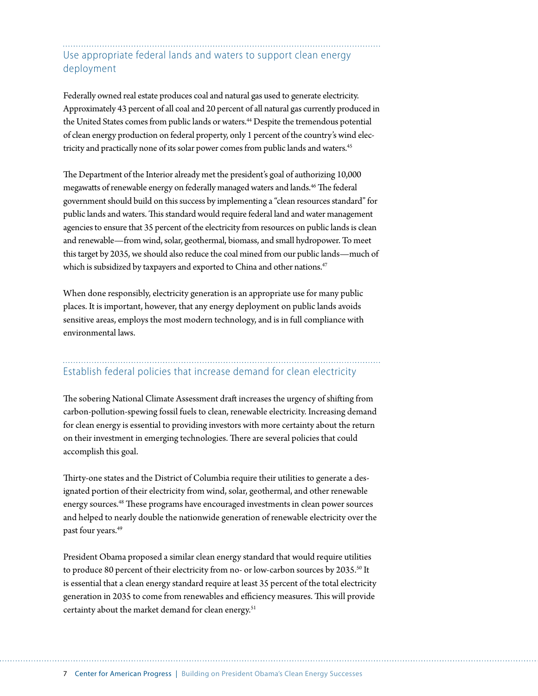#### Use appropriate federal lands and waters to support clean energy deployment

Federally owned real estate produces coal and natural gas used to generate electricity. Approximately 43 percent of all coal and 20 percent of all natural gas currently produced in the United States comes from public lands or waters.<sup>44</sup> Despite the tremendous potential of clean energy production on federal property, only 1 percent of the country's wind electricity and practically none of its solar power comes from public lands and waters.<sup>45</sup>

The Department of the Interior already met the president's goal of authorizing 10,000 megawatts of renewable energy on federally managed waters and lands.<sup>46</sup> The federal government should build on this success by implementing a "clean resources standard" for public lands and waters. This standard would require federal land and water management agencies to ensure that 35 percent of the electricity from resources on public lands is clean and renewable—from wind, solar, geothermal, biomass, and small hydropower. To meet this target by 2035, we should also reduce the coal mined from our public lands—much of which is subsidized by taxpayers and exported to China and other nations.<sup>47</sup>

When done responsibly, electricity generation is an appropriate use for many public places. It is important, however, that any energy deployment on public lands avoids sensitive areas, employs the most modern technology, and is in full compliance with environmental laws.

## Establish federal policies that increase demand for clean electricity

The sobering National Climate Assessment draft increases the urgency of shifting from carbon-pollution-spewing fossil fuels to clean, renewable electricity. Increasing demand for clean energy is essential to providing investors with more certainty about the return on their investment in emerging technologies. There are several policies that could accomplish this goal.

Thirty-one states and the District of Columbia require their utilities to generate a designated portion of their electricity from wind, solar, geothermal, and other renewable energy sources.<sup>48</sup> These programs have encouraged investments in clean power sources and helped to nearly double the nationwide generation of renewable electricity over the past four years.49

President Obama proposed a similar clean energy standard that would require utilities to produce 80 percent of their electricity from no- or low-carbon sources by 2035.<sup>50</sup> It is essential that a clean energy standard require at least 35 percent of the total electricity generation in 2035 to come from renewables and efficiency measures. This will provide certainty about the market demand for clean energy.<sup>51</sup>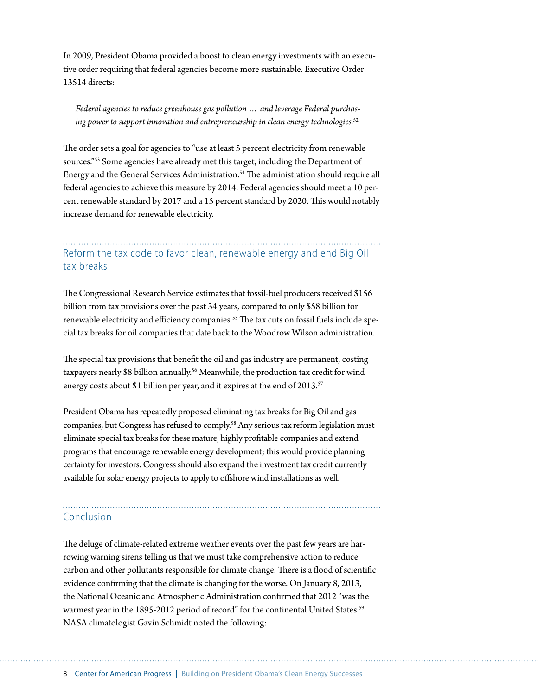In 2009, President Obama provided a boost to clean energy investments with an executive order requiring that federal agencies become more sustainable. Executive Order 13514 directs:

*Federal agencies to reduce greenhouse gas pollution … and leverage Federal purchasing power to support innovation and entrepreneurship in clean energy technologies.*<sup>52</sup>

The order sets a goal for agencies to "use at least 5 percent electricity from renewable sources."53 Some agencies have already met this target, including the Department of Energy and the General Services Administration.<sup>54</sup> The administration should require all federal agencies to achieve this measure by 2014. Federal agencies should meet a 10 percent renewable standard by 2017 and a 15 percent standard by 2020. This would notably increase demand for renewable electricity.

#### Reform the tax code to favor clean, renewable energy and end Big Oil tax breaks

The Congressional Research Service estimates that fossil-fuel producers received \$156 billion from tax provisions over the past 34 years, compared to only \$58 billion for renewable electricity and efficiency companies.<sup>55</sup> The tax cuts on fossil fuels include special tax breaks for oil companies that date back to the Woodrow Wilson administration.

The special tax provisions that benefit the oil and gas industry are permanent, costing taxpayers nearly \$8 billion annually.<sup>56</sup> Meanwhile, the production tax credit for wind energy costs about \$1 billion per year, and it expires at the end of 2013.<sup>57</sup>

President Obama has repeatedly proposed eliminating tax breaks for Big Oil and gas companies, but Congress has refused to comply.<sup>58</sup> Any serious tax reform legislation must eliminate special tax breaks for these mature, highly profitable companies and extend programs that encourage renewable energy development; this would provide planning certainty for investors. Congress should also expand the investment tax credit currently available for solar energy projects to apply to offshore wind installations as well.

#### Conclusion

The deluge of climate-related extreme weather events over the past few years are harrowing warning sirens telling us that we must take comprehensive action to reduce carbon and other pollutants responsible for climate change. There is a flood of scientific evidence confirming that the climate is changing for the worse. On January 8, 2013, the National Oceanic and Atmospheric Administration confirmed that 2012 "was the warmest year in the 1895-2012 period of record" for the continental United States.<sup>59</sup> NASA climatologist Gavin Schmidt noted the following: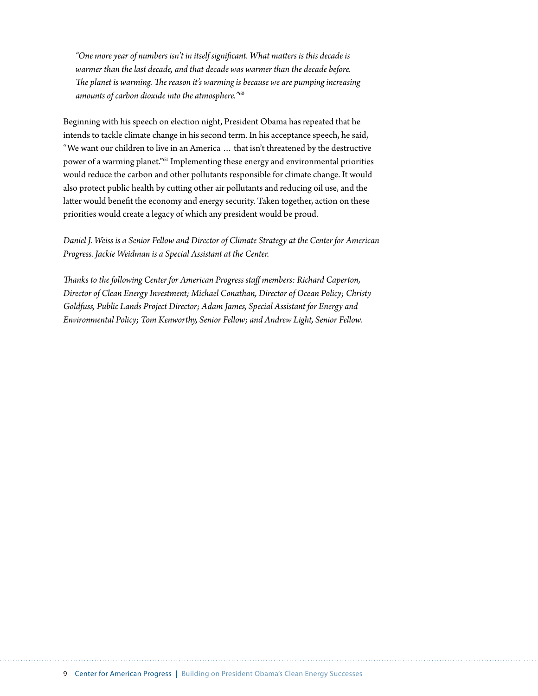*"One more year of numbers isn't in itself significant. What matters is this decade is warmer than the last decade, and that decade was warmer than the decade before. The planet is warming. The reason it's warming is because we are pumping increasing amounts of carbon dioxide into the atmosphere."*<sup>60</sup>

Beginning with his speech on election night, President Obama has repeated that he intends to tackle climate change in his second term. In his acceptance speech, he said, "We want our children to live in an America … that isn't threatened by the destructive power of a warming planet."61 Implementing these energy and environmental priorities would reduce the carbon and other pollutants responsible for climate change. It would also protect public health by cutting other air pollutants and reducing oil use, and the latter would benefit the economy and energy security. Taken together, action on these priorities would create a legacy of which any president would be proud.

*Daniel J. Weiss is a Senior Fellow and Director of Climate Strategy at the Center for American Progress. Jackie Weidman is a Special Assistant at the Center.*

*Thanks to the following Center for American Progress staff members: Richard Caperton, Director of Clean Energy Investment; Michael Conathan, Director of Ocean Policy; Christy Goldfuss, Public Lands Project Director; Adam James, Special Assistant for Energy and Environmental Policy; Tom Kenworthy, Senior Fellow; and Andrew Light, Senior Fellow.*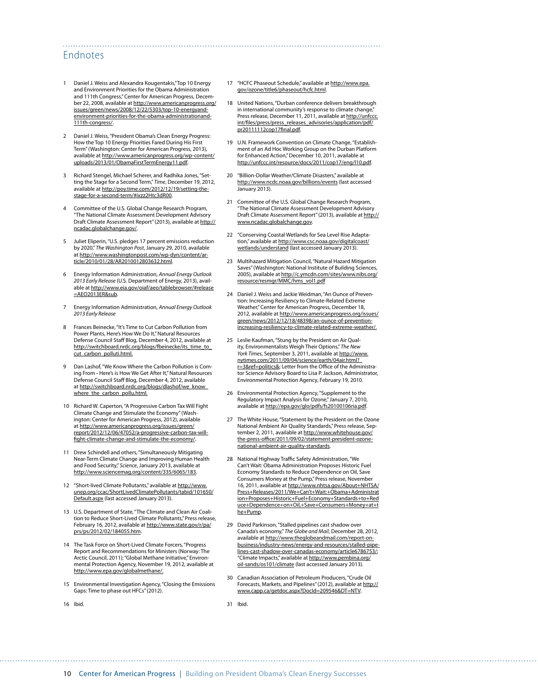#### Endnotes

- Daniel J. Weiss and Alexandra Kougentakis,"Top 10 Energy and Environment Priorities for the Obama Administration and 111th Congress," Center for American Progress, December 22, 2008, available at [http://www.americanprogress.org/](http://www.americanprogress.org/issues/green/news/2008/12/22/5303/top-10-energyand-environment-priorities-for-the-obama-administrationand-111th-congress/) [issues/green/news/2008/12/22/5303/top-10-energyand](http://www.americanprogress.org/issues/green/news/2008/12/22/5303/top-10-energyand-environment-priorities-for-the-obama-administrationand-111th-congress/)[environment-priorities-for-the-obama-administrationand-](http://www.americanprogress.org/issues/green/news/2008/12/22/5303/top-10-energyand-environment-priorities-for-the-obama-administrationand-111th-congress/)[111th-congress/](http://www.americanprogress.org/issues/green/news/2008/12/22/5303/top-10-energyand-environment-priorities-for-the-obama-administrationand-111th-congress/).
- 2 Daniel J. Weiss, "President Obama's Clean Energy Progress: How the Top 10 Energy Priorities Fared During His First Term" (Washington: Center for American Progress, 2013), available at [http://www.americanprogress.org/wp-content/](http://www.americanprogress.org/wp-content/uploads/2013/01/ObamaFirstTermEnergy11.pdf) [uploads/2013/01/ObamaFirstTermEnergy11.pdf](http://www.americanprogress.org/wp-content/uploads/2013/01/ObamaFirstTermEnergy11.pdf).
- 3 Richard Stengel, Michael Scherer, and Radhika Jones, "Setting the Stage for a Second Term," *Time*, December 19, 2012, available at http://poy.time.com/2012/12/19/setting-thestage-for-a-second-term/#ixzz2Htc3dR00.
- Committee of the U.S. Global Change Research Program, "The National Climate Assessment Development Advisory Draft Climate Assessment Report" (2013), available at [http://](http://ncadac.globalchange.gov/) [ncadac.globalchange.gov/.](http://ncadac.globalchange.gov/)
- 5 Juliet Eliperin, "U.S. pledges 17 percent emissions reduction by 2020," *The Washington Post*, January 29, 2010, available at [http://www.washingtonpost.com/wp-dyn/content/ar](http://www.washingtonpost.com/wp-dyn/content/article/2010/01/28/AR2010012803632.html)[ticle/2010/01/28/AR2010012803632.html.](http://www.washingtonpost.com/wp-dyn/content/article/2010/01/28/AR2010012803632.html)
- 6 Energy Information Administration, *Annual Energy Outlook 2013 Early Release* (U.S. Department of Energy, 2013), available at http://www.eia.gov/oiaf/aeo/tablebrowser/#release =AEO2013ER&sub.
- 7 Energy Information Administration, *Annual Energy Outlook 2013 Early Release*
- 8 Frances Beinecke, "It's Time to Cut Carbon Pollution from Power Plants, Here's How We Do It," Natural Resources Defense Council Staff Blog, December 4, 2012, available at [http://switchboard.nrdc.org/blogs/fbeinecke/its\\_time\\_to\\_](http://switchboard.nrdc.org/blogs/fbeinecke/its_time_to_cut_carbon_polluti.html) [cut\\_carbon\\_polluti.html.](http://switchboard.nrdc.org/blogs/fbeinecke/its_time_to_cut_carbon_polluti.html)
- Dan Lashof, "We Know Where the Carbon Pollution is Coming From **-** Here's is How We Get After It," Natural Resources Defense Council Staff Blog, December 4, 2012, available at [http://switchboard.nrdc.org/blogs/dlashof/we\\_know\\_](http://switchboard.nrdc.org/blogs/dlashof/we_know_where_the_carbon_pollu.html) where the carbon pollu.html.
- 10 Richard W. Caperton, "A Progressive Carbon Tax Will Fight Climate Change and Stimulate the Economy" (Washington: Center for American Progress, 2012), available at [http://www.americanprogress.org/issues/green/](http://www.americanprogress.org/issues/green/report/2012/12/06/47052/a-progressive-carbon-tax-will-fight-climate-change-and-stimulate-the-economy/) [report/2012/12/06/47052/a-progressive-carbon-tax-will](http://www.americanprogress.org/issues/green/report/2012/12/06/47052/a-progressive-carbon-tax-will-fight-climate-change-and-stimulate-the-economy/)[fight-climate-change-and-stimulate-the-economy/](http://www.americanprogress.org/issues/green/report/2012/12/06/47052/a-progressive-carbon-tax-will-fight-climate-change-and-stimulate-the-economy/).
- 11 Drew Schindell and others, "Simultaneously Mitigating Near-Term Climate Change and Improving Human Health and Food Security," *Science*, January 2013, available at <http://www.sciencemag.org/content/335/6065/183>.
- 12 "Short-lived Climate Pollutants," available at [http://www.](http://www.unep.org/ccac/ShortLivedClimatePollutants/tabid/101650/Default.aspx) [unep.org/ccac/ShortLivedClimatePollutants/tabid/101650/](http://www.unep.org/ccac/ShortLivedClimatePollutants/tabid/101650/Default.aspx) [Default.aspx](http://www.unep.org/ccac/ShortLivedClimatePollutants/tabid/101650/Default.aspx) (last accessed January 2013).
- 13 U.S. Department of State, "The Climate and Clean Air Coalition to Reduce Short-Lived Climate Pollutants," Press release, February 16, 2012, available at [http://www.state.gov/r/pa/](http://www.state.gov/r/pa/prs/ps/2012/02/184055.htm) [prs/ps/2012/02/184055.htm](http://www.state.gov/r/pa/prs/ps/2012/02/184055.htm).
- 14 The Task Force on Short-Lived Climate Forcers, "Progress Report and Recommendations for Ministers (Norway: The Arctic Council, 2011); "Global Methane Initiative," Environmental Protection Agency, November 19, 2012, available at [http://www.epa.gov/globalmethane/.](http://www.epa.gov/globalmethane/)
- 15 Environmental Investigation Agency, "Closing the Emissions Gaps: Time to phase out HFCs" (2012).
- 16 Ibid.

17 "HCFC Phaseout Schedule," available at [http://www.epa.](http://www.epa.gov/ozone/title6/phaseout/hcfc.html) [gov/ozone/title6/phaseout/hcfc.html.](http://www.epa.gov/ozone/title6/phaseout/hcfc.html)

- 18 United Nations, "Durban conference delivers breakthrough in international community's response to climate change," Press release, December 11, 2011, available at [http://unfccc.](http://unfccc.int/files/press/press_releases_advisories/application/pdf/pr20111112cop17final.pdf) [int/files/press/press\\_releases\\_advisories/application/pdf/](http://unfccc.int/files/press/press_releases_advisories/application/pdf/pr20111112cop17final.pdf) [pr20111112cop17final.pdf.](http://unfccc.int/files/press/press_releases_advisories/application/pdf/pr20111112cop17final.pdf)
- 19 U.N. Framework Convention on Climate Change, "Establishment of an Ad Hoc Working Group on the Durban Platform for Enhanced Action," December 10, 2011, available at <http://unfccc.int/resource/docs/2011/cop17/eng/l10.pdf>.
- 20 "Billion-Dollar Weather/Climate Disasters," available at <http://www.ncdc.noaa.gov/billions/events>(last accessed January 2013).
- Committee of the U.S. Global Change Research Program, "The National Climate Assessment Development Advisory Draft Climate Assessment Report" (2013), available at [http://](http://www.ncadac.globalchange.gov) [www.ncadac.globalchange.gov](http://www.ncadac.globalchange.gov).
- 22 "Conserving Coastal Wetlands for Sea Level Rise Adaptation," available at [http://www.csc.noaa.gov/digitalcoast/](http://www.csc.noaa.gov/digitalcoast/wetlands/understand) [wetlands/understand](http://www.csc.noaa.gov/digitalcoast/wetlands/understand) (last accessed January 2013).
- 23 Multihazard Mitigation Council, "Natural Hazard Mitigation Saves" (Washington: National Institute of Building Sciences, 2005), available at [http://c.ymcdn.com/sites/www.nibs.org/](http://c.ymcdn.com/sites/www.nibs.org/resource/resmgr/MMC/hms_vol1.pdf) [resource/resmgr/MMC/hms\\_vol1.pdf](http://c.ymcdn.com/sites/www.nibs.org/resource/resmgr/MMC/hms_vol1.pdf)
- 24 Daniel J. Weiss and Jackie Weidman, "An Ounce of Prevention: Increasing Resiliency to Climate-Related Extreme Weather," Center for American Progress, December 18, 2012, available at [http://www.americanprogress.org/issues/](http://www.americanprogress.org/issues/green/news/2012/12/18/48398/an-ounce-of-prevention-increasing-resiliency-to-climate-related-extreme-weather/) [green/news/2012/12/18/48398/an-ounce-of-prevention](http://www.americanprogress.org/issues/green/news/2012/12/18/48398/an-ounce-of-prevention-increasing-resiliency-to-climate-related-extreme-weather/)[increasing-resiliency-to-climate-related-extreme-weather/.](http://www.americanprogress.org/issues/green/news/2012/12/18/48398/an-ounce-of-prevention-increasing-resiliency-to-climate-related-extreme-weather/)
- 25 Leslie Kaufman, "Stung by the President on Air Quality, Environmentalists Weigh Their Options," *The New York Times*, September 3, 2011, available at [http://www.](http://www.nytimes.com/2011/09/04/science/earth/04air.html?_r=3&ref=politics&) [nytimes.com/2011/09/04/science/earth/04air.html?\\_](http://www.nytimes.com/2011/09/04/science/earth/04air.html?_r=3&ref=politics&) [r=3&ref=politics&](http://www.nytimes.com/2011/09/04/science/earth/04air.html?_r=3&ref=politics&); Letter from the Office of the Administrator Science Advisory Board to Lisa P. Jackson, Administrator, Environmental Protection Agency, February 19, 2010.
- 26 Environmental Protection Agency, "Supplement to the Regulatory Impact Analysis for Ozone," January 7, 2010, available at [http://epa.gov/glo/pdfs/fs20100106ria.pdf.](http://epa.gov/glo/pdfs/fs20100106ria.pdf)
- 27 The White House, "Statement by the President on the Ozone National Ambient Air Quality Standards," Press release, September 2, 2011, available at [http://www.whitehouse.gov/](http://www.whitehouse.gov/the-press-office/2011/09/02/statement-president-ozone-national-ambient-air-quality-standards) [the-press-office/2011/09/02/statement-president-ozone](http://www.whitehouse.gov/the-press-office/2011/09/02/statement-president-ozone-national-ambient-air-quality-standards)[national-ambient-air-quality-standards](http://www.whitehouse.gov/the-press-office/2011/09/02/statement-president-ozone-national-ambient-air-quality-standards).
- 28 National Highway Traffic Safety Administration, "We Can't Wait: Obama Administration Proposes Historic Fuel Economy Standards to Reduce Dependence on Oil, Save Consumers Money at the Pump," Press release, November 16, 2011, available at [http://www.nhtsa.gov/About+NHTSA/](http://www.nhtsa.gov/About+NHTSA/Press+Releases/2011/We+Can) [Press+Releases/2011/We+Can't+Wait:+Obama+Administrat](http://www.nhtsa.gov/About+NHTSA/Press+Releases/2011/We+Can) [ion+Proposes+Historic+Fuel+Economy+Standards+to+Red](http://www.nhtsa.gov/About+NHTSA/Press+Releases/2011/We+Can) [uce+Dependence+on+Oil,+Save+Consumers+Money+at+t](http://www.nhtsa.gov/About+NHTSA/Press+Releases/2011/We+Can) [he+Pump.](http://www.nhtsa.gov/About+NHTSA/Press+Releases/2011/We+Can)
- 29 David Parkinson, "Stalled pipelines cast shadow over Canada's economy," *The Globe and Mail*, December 28, 2012, available at [http://www.theglobeandmail.com/report-on](http://www.theglobeandmail.com/report-on-business/industry-news/energy-and-resources/stalled-pipelines-cast-shadow-over-canadas-economy/article6786753/)[business/industry-news/energy-and-resources/stalled-pipe](http://www.theglobeandmail.com/report-on-business/industry-news/energy-and-resources/stalled-pipelines-cast-shadow-over-canadas-economy/article6786753/)[lines-cast-shadow-over-canadas-economy/article6786753/](http://www.theglobeandmail.com/report-on-business/industry-news/energy-and-resources/stalled-pipelines-cast-shadow-over-canadas-economy/article6786753/); "Climate Impacts," available at [http://www.pembina.org/](http://www.pembina.org/oil-sands/os101/climate) [oil-sands/os101/climate](http://www.pembina.org/oil-sands/os101/climate) (last accessed January 2013).
- 30 Canadian Association of Petroleum Producers, "Crude Oil Forecasts, Markets, and Pipelines" (2012), available at [http://](http://www.capp.ca/getdoc.aspx?DocId=209546&DT=NTV) [www.capp.ca/getdoc.aspx?DocId=209546&DT=NTV](http://www.capp.ca/getdoc.aspx?DocId=209546&DT=NTV).

31 Ibid.